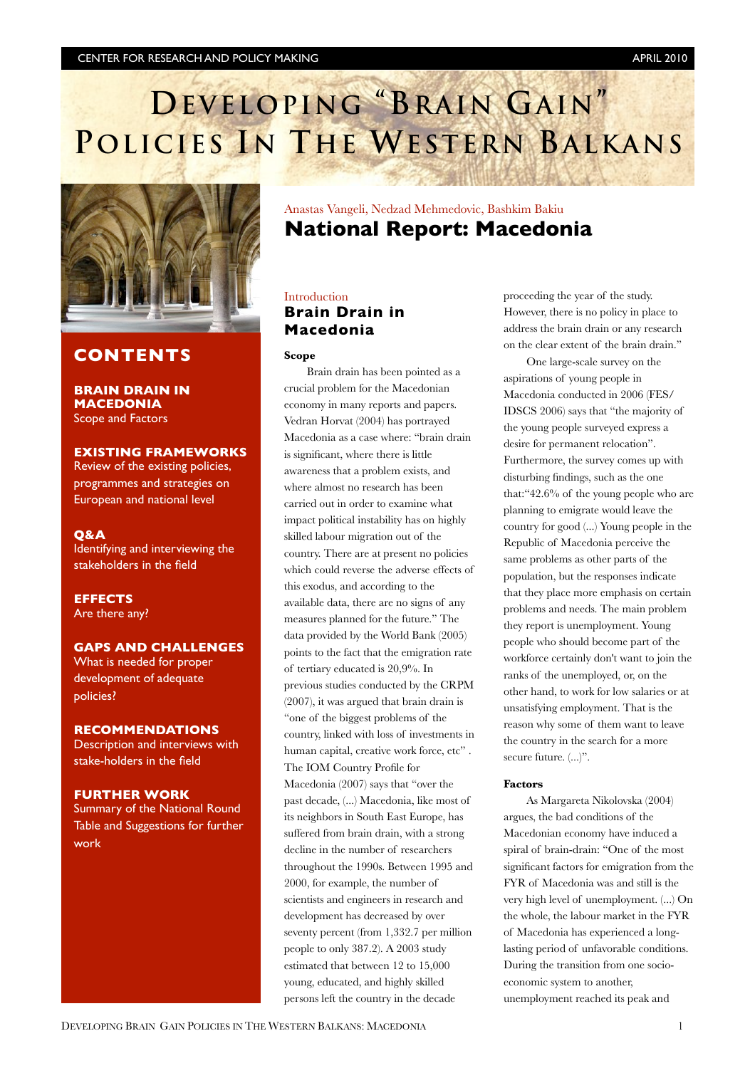## **DEVELOPING "BRAIN GAIN" POLICIES IN THE WESTERN BALKANS**



## **CONTENTS**

**BRAIN DRAIN IN MACEDONIA** Scope and Factors

### **EXISTING FRAMEWORKS**

Review of the existing policies, programmes and strategies on European and national level

#### **Q&A**

Identifying and interviewing the stakeholders in the field

**EFFECTS** Are there any?

## **GAPS AND CHALLENGES**

What is needed for proper development of adequate policies?

## **RECOMMENDATIONS**

Description and interviews with stake-holders in the field

#### **FURTHER WORK**

Summary of the National Round Table and Suggestions for further work

## Anastas Vangeli, Nedzad Mehmedovic, Bashkim Bakiu **National Report: Macedonia**

## Introduction **Brain Drain in Macedonia**

#### **Scope**

Brain drain has been pointed as a crucial problem for the Macedonian economy in many reports and papers. Vedran Horvat (2004) has portrayed Macedonia as a case where: "brain drain is signicant, where there is little awareness that a problem exists, and where almost no research has been carried out in order to examine what impact political instability has on highly skilled labour migration out of the country. There are at present no policies which could reverse the adverse effects of this exodus, and according to the available data, there are no signs of any measures planned for the future." The data provided by the World Bank (2005) points to the fact that the emigration rate of tertiary educated is 20,9%. In previous studies conducted by the CRPM (2007), it was argued that brain drain is "one of the biggest problems of the country, linked with loss of investments in human capital, creative work force, etc". The IOM Country Profile for Macedonia (2007) says that "over the past decade, (...) Macedonia, like most of its neighbors in South East Europe, has suffered from brain drain, with a strong decline in the number of researchers throughout the 1990s. Between 1995 and 2000, for example, the number of scientists and engineers in research and development has decreased by over seventy percent (from 1,332.7 per million people to only 387.2). A 2003 study estimated that between 12 to 15,000 young, educated, and highly skilled persons left the country in the decade

proceeding the year of the study. However, there is no policy in place to address the brain drain or any research on the clear extent of the brain drain."

One large-scale survey on the aspirations of young people in Macedonia conducted in 2006 (FES/ IDSCS 2006) says that "the majority of the young people surveyed express a desire for permanent relocation". Furthermore, the survey comes up with disturbing findings, such as the one that:"42.6% of the young people who are planning to emigrate would leave the country for good (...) Young people in the Republic of Macedonia perceive the same problems as other parts of the population, but the responses indicate that they place more emphasis on certain problems and needs. The main problem they report is unemployment. Young people who should become part of the workforce certainly don't want to join the ranks of the unemployed, or, on the other hand, to work for low salaries or at unsatisfying employment. That is the reason why some of them want to leave the country in the search for a more secure future.  $(...)^"$ .

#### **Factors**

As Margareta Nikolovska (2004) argues, the bad conditions of the Macedonian economy have induced a spiral of brain-drain: "One of the most significant factors for emigration from the FYR of Macedonia was and still is the very high level of unemployment. (...) On the whole, the labour market in the FYR of Macedonia has experienced a longlasting period of unfavorable conditions. During the transition from one socioeconomic system to another, unemployment reached its peak and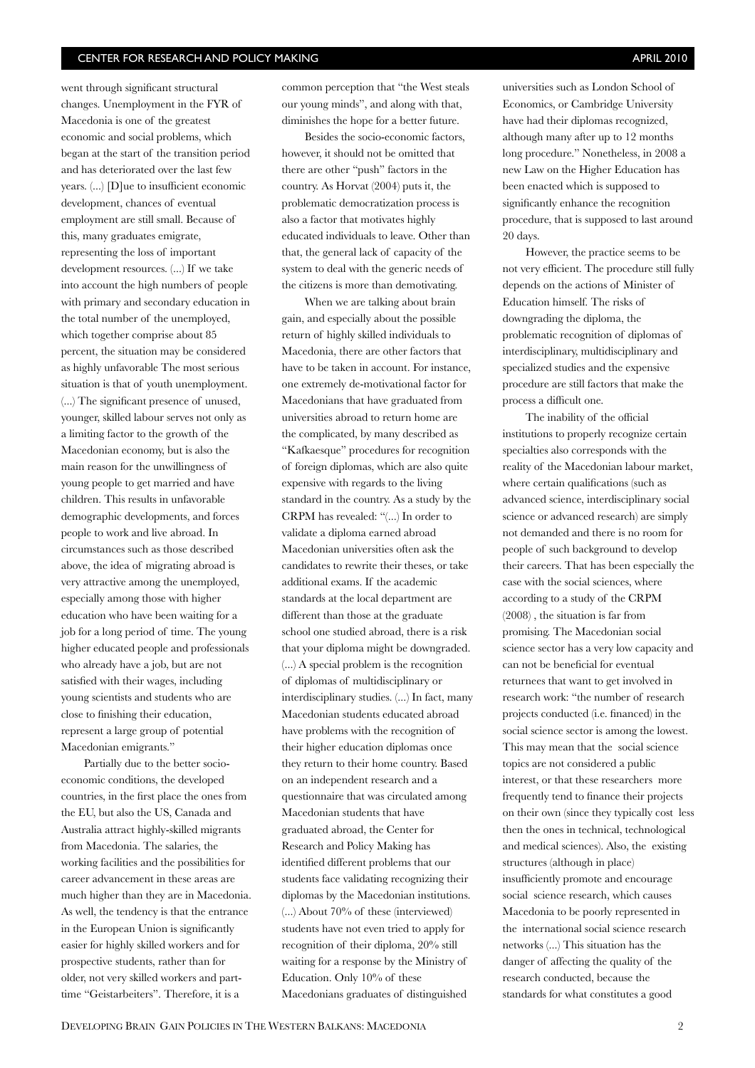went through significant structural changes. Unemployment in the FYR of Macedonia is one of the greatest economic and social problems, which began at the start of the transition period and has deteriorated over the last few years.  $(...)$  [D]ue to insufficient economic development, chances of eventual employment are still small. Because of this, many graduates emigrate, representing the loss of important development resources. (...) If we take into account the high numbers of people with primary and secondary education in the total number of the unemployed, which together comprise about 85 percent, the situation may be considered as highly unfavorable The most serious situation is that of youth unemployment. (...) The signicant presence of unused, younger, skilled labour serves not only as a limiting factor to the growth of the Macedonian economy, but is also the main reason for the unwillingness of young people to get married and have children. This results in unfavorable demographic developments, and forces people to work and live abroad. In circumstances such as those described above, the idea of migrating abroad is very attractive among the unemployed, especially among those with higher education who have been waiting for a job for a long period of time. The young higher educated people and professionals who already have a job, but are not satisfied with their wages, including young scientists and students who are close to finishing their education, represent a large group of potential Macedonian emigrants."

Partially due to the better socioeconomic conditions, the developed countries, in the first place the ones from the EU, but also the US, Canada and Australia attract highly-skilled migrants from Macedonia. The salaries, the working facilities and the possibilities for career advancement in these areas are much higher than they are in Macedonia. As well, the tendency is that the entrance in the European Union is significantly easier for highly skilled workers and for prospective students, rather than for older, not very skilled workers and parttime "Geistarbeiters". Therefore, it is a

common perception that "the West steals our young minds", and along with that, diminishes the hope for a better future.

Besides the socio-economic factors, however, it should not be omitted that there are other "push" factors in the country. As Horvat (2004) puts it, the problematic democratization process is also a factor that motivates highly educated individuals to leave. Other than that, the general lack of capacity of the system to deal with the generic needs of the citizens is more than demotivating.

When we are talking about brain gain, and especially about the possible return of highly skilled individuals to Macedonia, there are other factors that have to be taken in account. For instance, one extremely de-motivational factor for Macedonians that have graduated from universities abroad to return home are the complicated, by many described as "Kafkaesque" procedures for recognition of foreign diplomas, which are also quite expensive with regards to the living standard in the country. As a study by the CRPM has revealed: "(...) In order to validate a diploma earned abroad Macedonian universities often ask the candidates to rewrite their theses, or take additional exams. If the academic standards at the local department are different than those at the graduate school one studied abroad, there is a risk that your diploma might be downgraded. (...) A special problem is the recognition of diplomas of multidisciplinary or interdisciplinary studies. (...) In fact, many Macedonian students educated abroad have problems with the recognition of their higher education diplomas once they return to their home country. Based on an independent research and a questionnaire that was circulated among Macedonian students that have graduated abroad, the Center for Research and Policy Making has identified different problems that our students face validating recognizing their diplomas by the Macedonian institutions. (...) About 70% of these (interviewed) students have not even tried to apply for recognition of their diploma, 20% still waiting for a response by the Ministry of Education. Only 10% of these Macedonians graduates of distinguished

universities such as London School of Economics, or Cambridge University have had their diplomas recognized, although many after up to 12 months long procedure." Nonetheless, in 2008 a new Law on the Higher Education has been enacted which is supposed to significantly enhance the recognition procedure, that is supposed to last around 20 days.

However, the practice seems to be not very efficient. The procedure still fully depends on the actions of Minister of Education himself. The risks of downgrading the diploma, the problematic recognition of diplomas of interdisciplinary, multidisciplinary and specialized studies and the expensive procedure are still factors that make the process a difficult one.

The inability of the official institutions to properly recognize certain specialties also corresponds with the reality of the Macedonian labour market, where certain qualifications (such as advanced science, interdisciplinary social science or advanced research) are simply not demanded and there is no room for people of such background to develop their careers. That has been especially the case with the social sciences, where according to a study of the CRPM (2008) , the situation is far from promising. The Macedonian social science sector has a very low capacity and can not be beneficial for eventual returnees that want to get involved in research work: "the number of research projects conducted (i.e. financed) in the social science sector is among the lowest. This may mean that the social science topics are not considered a public interest, or that these researchers more frequently tend to finance their projects on their own (since they typically cost less then the ones in technical, technological and medical sciences). Also, the existing structures (although in place) insufficiently promote and encourage social science research, which causes Macedonia to be poorly represented in the international social science research networks (...) This situation has the danger of affecting the quality of the research conducted, because the standards for what constitutes a good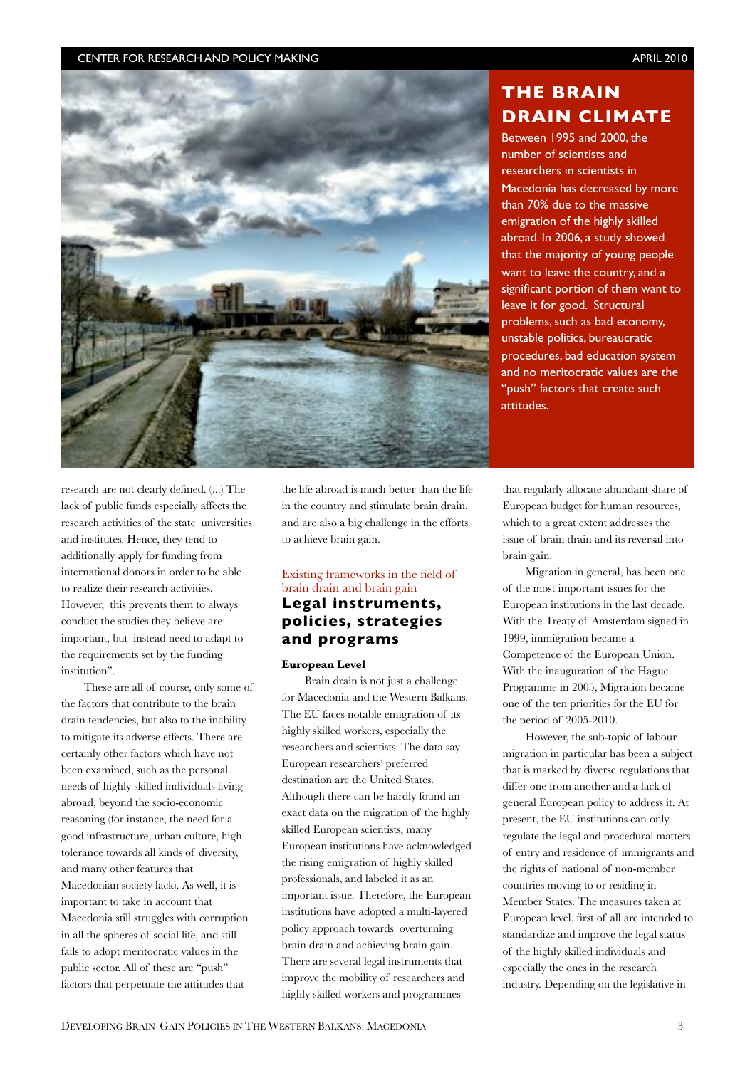

research are not clearly defined. (...) The lack of public funds especially affects the research activities of the state universities and institutes. Hence, they tend to additionally apply for funding from international donors in order to be able to realize their research activities. However, this prevents them to always conduct the studies they believe are important, but instead need to adapt to the requirements set by the funding institution".

These are all of course, only some of the factors that contribute to the brain drain tendencies, but also to the inability to mitigate its adverse effects. There are certainly other factors which have not been examined, such as the personal needs of highly skilled individuals living abroad, beyond the socio-economic reasoning (for instance, the need for a good infrastructure, urban culture, high tolerance towards all kinds of diversity, and many other features that Macedonian society lack). As well, it is important to take in account that Macedonia still struggles with corruption in all the spheres of social life, and still fails to adopt meritocratic values in the public sector. All of these are "push" factors that perpetuate the attitudes that

the life abroad is much better than the life in the country and stimulate brain drain, and are also a big challenge in the efforts to achieve brain gain.

## Existing frameworks in the field of brain drain and brain gain **Legal instruments, policies, strategies and programs**

#### **European Level**

Brain drain is not just a challenge for Macedonia and the Western Balkans. The EU faces notable emigration of its highly skilled workers, especially the researchers and scientists. The data say European researchers' preferred destination are the United States. Although there can be hardly found an exact data on the migration of the highly skilled European scientists, many European institutions have acknowledged the rising emigration of highly skilled professionals, and labeled it as an important issue. Therefore, the European institutions have adopted a multi-layered policy approach towards overturning brain drain and achieving brain gain. There are several legal instruments that improve the mobility of researchers and highly skilled workers and programmes

## **THE BRAIN DRAIN CLIMATE**

Between 1995 and 2000, the number of scientists and researchers in scientists in Macedonia has decreased by more than 70% due to the massive emigration of the highly skilled abroad. In 2006, a study showed that the majority of young people want to leave the country, and a significant portion of them want to leave it for good. Structural problems, such as bad economy, unstable politics, bureaucratic procedures, bad education system and no meritocratic values are the "push" factors that create such attitudes.

that regularly allocate abundant share of European budget for human resources, which to a great extent addresses the issue of brain drain and its reversal into brain gain.

Migration in general, has been one of the most important issues for the European institutions in the last decade. With the Treaty of Amsterdam signed in 1999, immigration became a Competence of the European Union. With the inauguration of the Hague Programme in 2005, Migration became one of the ten priorities for the EU for the period of 2005-2010.

However, the sub-topic of labour migration in particular has been a subject that is marked by diverse regulations that differ one from another and a lack of general European policy to address it. At present, the EU institutions can only regulate the legal and procedural matters of entry and residence of immigrants and the rights of national of non-member countries moving to or residing in Member States. The measures taken at European level, first of all are intended to standardize and improve the legal status of the highly skilled individuals and especially the ones in the research industry. Depending on the legislative in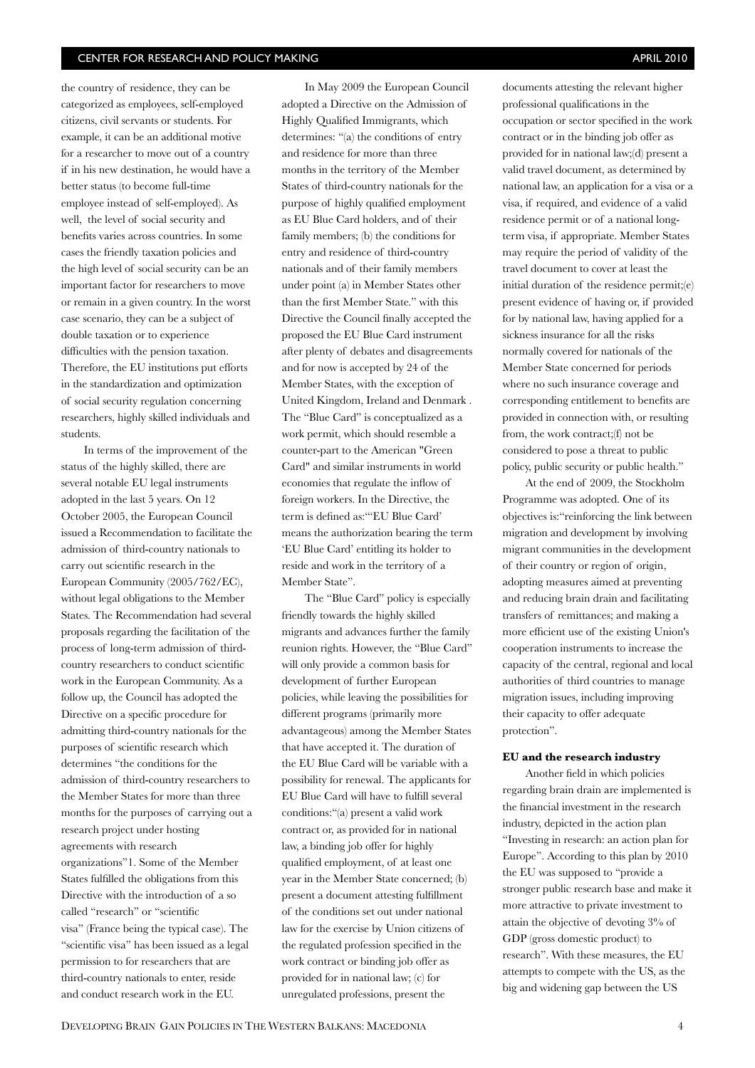the country of residence, they can be categorized as employees, self-employed citizens, civil servants or students. For example, it can be an additional motive for a researcher to move out of a country if in his new destination, he would have a better status (to become full-time employee instead of self-employed). As well, the level of social security and benefits varies across countries. In some cases the friendly taxation policies and the high level of social security can be an important factor for researchers to move or remain in a given country. In the worst case scenario, they can be a subject of double taxation or to experience difficulties with the pension taxation. Therefore, the EU institutions put efforts in the standardization and optimization of social security regulation concerning researchers, highly skilled individuals and students.

In terms of the improvement of the status of the highly skilled, there are several notable EU legal instruments adopted in the last 5 years. On 12 October 2005, the European Council issued a Recommendation to facilitate the admission of third-country nationals to carry out scientific research in the European Community (2005/762/EC), without legal obligations to the Member States. The Recommendation had several proposals regarding the facilitation of the process of long-term admission of thirdcountry researchers to conduct scientific work in the European Community. As a follow up, the Council has adopted the Directive on a specific procedure for admitting third-country nationals for the purposes of scientific research which determines "the conditions for the admission of third-country researchers to the Member States for more than three months for the purposes of carrying out a research project under hosting agreements with research organizations"1. Some of the Member States fulfilled the obligations from this Directive with the introduction of a so called "research" or "scientific visa" (France being the typical case). The "scientific visa" has been issued as a legal permission to for researchers that are third-country nationals to enter, reside and conduct research work in the EU.

In May 2009 the European Council adopted a Directive on the Admission of Highly Qualified Immigrants, which determines: "(a) the conditions of entry and residence for more than three months in the territory of the Member States of third-country nationals for the purpose of highly qualified employment as EU Blue Card holders, and of their family members; (b) the conditions for entry and residence of third-country nationals and of their family members under point (a) in Member States other than the first Member State." with this Directive the Council finally accepted the proposed the EU Blue Card instrument after plenty of debates and disagreements and for now is accepted by 24 of the Member States, with the exception of United Kingdom, Ireland and Denmark . The "Blue Card" is conceptualized as a work permit, which should resemble a counter-part to the American "Green Card" and similar instruments in world economies that regulate the inflow of foreign workers. In the Directive, the term is defined as:""EU Blue Card' means the authorization bearing the term 'EU Blue Card' entitling its holder to reside and work in the territory of a Member State".

The "Blue Card" policy is especially friendly towards the highly skilled migrants and advances further the family reunion rights. However, the "Blue Card" will only provide a common basis for development of further European policies, while leaving the possibilities for different programs (primarily more advantageous) among the Member States that have accepted it. The duration of the EU Blue Card will be variable with a possibility for renewal. The applicants for EU Blue Card will have to fulll several conditions:"(a) present a valid work contract or, as provided for in national law, a binding job offer for highly qualified employment, of at least one year in the Member State concerned; (b) present a document attesting fulllment of the conditions set out under national law for the exercise by Union citizens of the regulated profession specified in the work contract or binding job offer as provided for in national law; (c) for unregulated professions, present the

documents attesting the relevant higher professional qualifications in the occupation or sector specified in the work contract or in the binding job offer as provided for in national law;(d) present a valid travel document, as determined by national law, an application for a visa or a visa, if required, and evidence of a valid residence permit or of a national longterm visa, if appropriate. Member States may require the period of validity of the travel document to cover at least the initial duration of the residence permit;(e) present evidence of having or, if provided for by national law, having applied for a sickness insurance for all the risks normally covered for nationals of the Member State concerned for periods where no such insurance coverage and corresponding entitlement to benefits are provided in connection with, or resulting from, the work contract;(f) not be considered to pose a threat to public policy, public security or public health."

At the end of 2009, the Stockholm Programme was adopted. One of its objectives is:"reinforcing the link between migration and development by involving migrant communities in the development of their country or region of origin, adopting measures aimed at preventing and reducing brain drain and facilitating transfers of remittances; and making a more efficient use of the existing Union's cooperation instruments to increase the capacity of the central, regional and local authorities of third countries to manage migration issues, including improving their capacity to offer adequate protection".

#### **EU and the research industry**

Another field in which policies regarding brain drain are implemented is the financial investment in the research industry, depicted in the action plan "Investing in research: an action plan for Europe". According to this plan by 2010 the EU was supposed to "provide a stronger public research base and make it more attractive to private investment to attain the objective of devoting 3% of GDP (gross domestic product) to research". With these measures, the EU attempts to compete with the US, as the big and widening gap between the US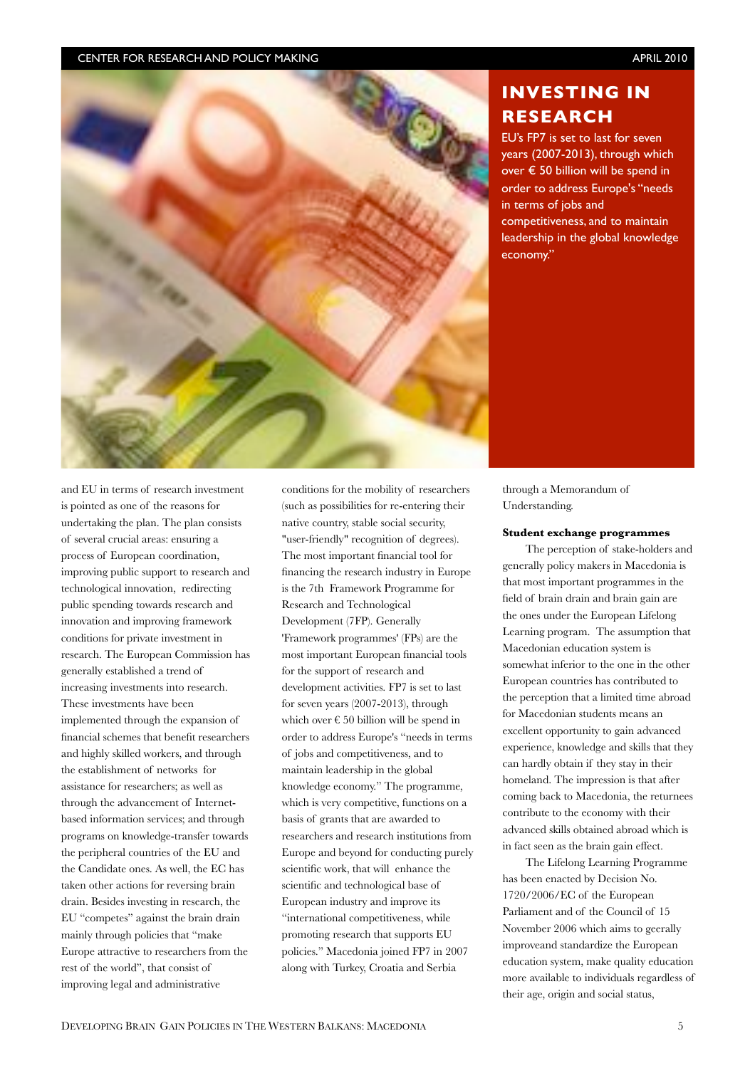

## **INVESTING IN RESEARCH**

EU's FP7 is set to last for seven years (2007-2013), through which over  $\epsilon$  50 billion will be spend in order to address Europe's "needs in terms of jobs and competitiveness, and to maintain leadership in the global knowledge economy."

and EU in terms of research investment is pointed as one of the reasons for undertaking the plan. The plan consists of several crucial areas: ensuring a process of European coordination, improving public support to research and technological innovation, redirecting public spending towards research and innovation and improving framework conditions for private investment in research. The European Commission has generally established a trend of increasing investments into research. These investments have been implemented through the expansion of financial schemes that benefit researchers and highly skilled workers, and through the establishment of networks for assistance for researchers; as well as through the advancement of Internetbased information services; and through programs on knowledge-transfer towards the peripheral countries of the EU and the Candidate ones. As well, the EC has taken other actions for reversing brain drain. Besides investing in research, the EU "competes" against the brain drain mainly through policies that "make Europe attractive to researchers from the rest of the world", that consist of improving legal and administrative

conditions for the mobility of researchers (such as possibilities for re-entering their native country, stable social security, "user-friendly" recognition of degrees). The most important financial tool for nancing the research industry in Europe is the 7th Framework Programme for Research and Technological Development (7FP). Generally 'Framework programmes' (FPs) are the most important European financial tools for the support of research and development activities. FP7 is set to last for seven years (2007-2013), through which over  $\epsilon$  50 billion will be spend in order to address Europe's "needs in terms of jobs and competitiveness, and to maintain leadership in the global knowledge economy." The programme, which is very competitive, functions on a basis of grants that are awarded to researchers and research institutions from Europe and beyond for conducting purely scientific work, that will enhance the scientific and technological base of European industry and improve its "international competitiveness, while promoting research that supports EU policies." Macedonia joined FP7 in 2007 along with Turkey, Croatia and Serbia

through a Memorandum of Understanding.

#### **Student exchange programmes**

The perception of stake-holders and generally policy makers in Macedonia is that most important programmes in the field of brain drain and brain gain are the ones under the European Lifelong Learning program. The assumption that Macedonian education system is somewhat inferior to the one in the other European countries has contributed to the perception that a limited time abroad for Macedonian students means an excellent opportunity to gain advanced experience, knowledge and skills that they can hardly obtain if they stay in their homeland. The impression is that after coming back to Macedonia, the returnees contribute to the economy with their advanced skills obtained abroad which is in fact seen as the brain gain effect.

The Lifelong Learning Programme has been enacted by Decision No. 1720/2006/EC of the European Parliament and of the Council of 15 November 2006 which aims to geerally improveand standardize the European education system, make quality education more available to individuals regardless of their age, origin and social status,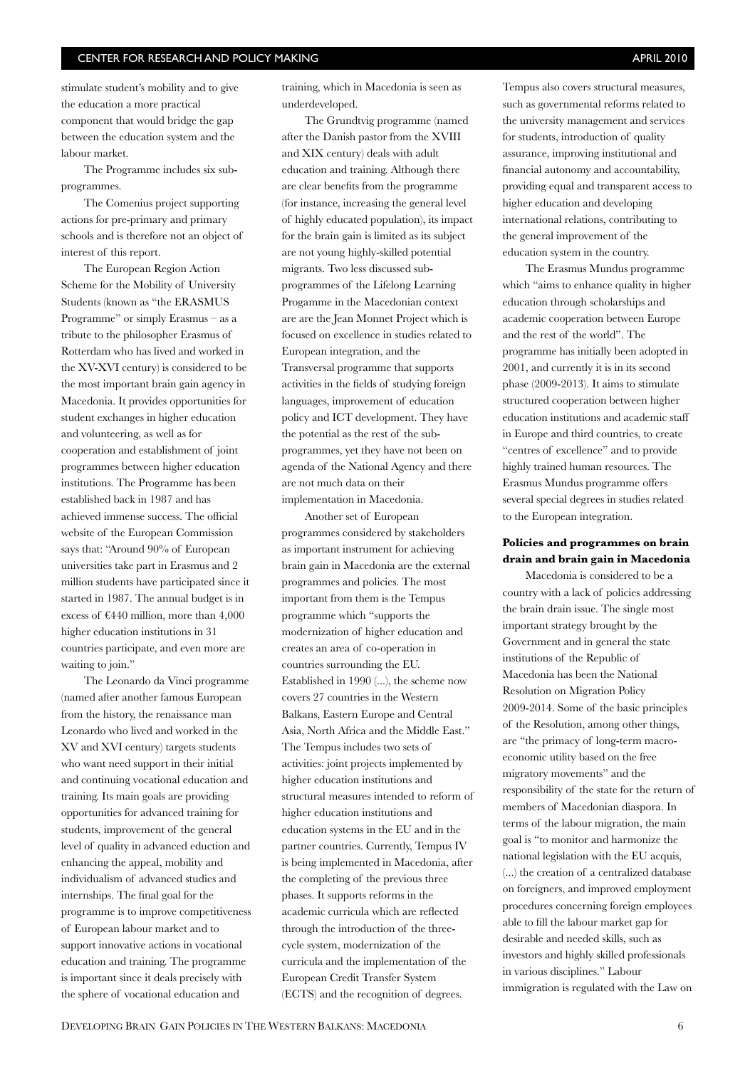stimulate student's mobility and to give the education a more practical component that would bridge the gap between the education system and the labour market.

The Programme includes six subprogrammes.

The Comenius project supporting actions for pre-primary and primary schools and is therefore not an object of interest of this report.

The European Region Action Scheme for the Mobility of University Students (known as "the ERASMUS Programme" or simply Erasmus – as a tribute to the philosopher Erasmus of Rotterdam who has lived and worked in the XV-XVI century) is considered to be the most important brain gain agency in Macedonia. It provides opportunities for student exchanges in higher education and volunteering, as well as for cooperation and establishment of joint programmes between higher education institutions. The Programme has been established back in 1987 and has achieved immense success. The official website of the European Commission says that: "Around 90% of European universities take part in Erasmus and 2 million students have participated since it started in 1987. The annual budget is in excess of  $\text{\textsterling}440$  million, more than 4,000 higher education institutions in 31 countries participate, and even more are waiting to join."

The Leonardo da Vinci programme (named after another famous European from the history, the renaissance man Leonardo who lived and worked in the XV and XVI century) targets students who want need support in their initial and continuing vocational education and training. Its main goals are providing opportunities for advanced training for students, improvement of the general level of quality in advanced eduction and enhancing the appeal, mobility and individualism of advanced studies and internships. The final goal for the programme is to improve competitiveness of European labour market and to support innovative actions in vocational education and training. The programme is important since it deals precisely with the sphere of vocational education and

training, which in Macedonia is seen as underdeveloped.

The Grundtvig programme (named after the Danish pastor from the XVIII and XIX century) deals with adult education and training. Although there are clear benefits from the programme (for instance, increasing the general level of highly educated population), its impact for the brain gain is limited as its subject are not young highly-skilled potential migrants. Two less discussed subprogrammes of the Lifelong Learning Progamme in the Macedonian context are are the Jean Monnet Project which is focused on excellence in studies related to European integration, and the Transversal programme that supports activities in the fields of studying foreign languages, improvement of education policy and ICT development. They have the potential as the rest of the subprogrammes, yet they have not been on agenda of the National Agency and there are not much data on their implementation in Macedonia.

Another set of European programmes considered by stakeholders as important instrument for achieving brain gain in Macedonia are the external programmes and policies. The most important from them is the Tempus programme which "supports the modernization of higher education and creates an area of co-operation in countries surrounding the EU. Established in 1990 (...), the scheme now covers 27 countries in the Western Balkans, Eastern Europe and Central Asia, North Africa and the Middle East." The Tempus includes two sets of activities: joint projects implemented by higher education institutions and structural measures intended to reform of higher education institutions and education systems in the EU and in the partner countries. Currently, Tempus IV is being implemented in Macedonia, after the completing of the previous three phases. It supports reforms in the academic curricula which are reflected through the introduction of the threecycle system, modernization of the curricula and the implementation of the European Credit Transfer System (ECTS) and the recognition of degrees.

Tempus also covers structural measures, such as governmental reforms related to the university management and services for students, introduction of quality assurance, improving institutional and financial autonomy and accountability, providing equal and transparent access to higher education and developing international relations, contributing to the general improvement of the education system in the country.

The Erasmus Mundus programme which "aims to enhance quality in higher education through scholarships and academic cooperation between Europe and the rest of the world". The programme has initially been adopted in 2001, and currently it is in its second phase (2009-2013). It aims to stimulate structured cooperation between higher education institutions and academic staff in Europe and third countries, to create "centres of excellence" and to provide highly trained human resources. The Erasmus Mundus programme offers several special degrees in studies related to the European integration.

### **Policies and programmes on brain drain and brain gain in Macedonia**

Macedonia is considered to be a country with a lack of policies addressing the brain drain issue. The single most important strategy brought by the Government and in general the state institutions of the Republic of Macedonia has been the National Resolution on Migration Policy 2009-2014. Some of the basic principles of the Resolution, among other things, are "the primacy of long-term macroeconomic utility based on the free migratory movements" and the responsibility of the state for the return of members of Macedonian diaspora. In terms of the labour migration, the main goal is "to monitor and harmonize the national legislation with the EU acquis, (...) the creation of a centralized database on foreigners, and improved employment procedures concerning foreign employees able to fill the labour market gap for desirable and needed skills, such as investors and highly skilled professionals in various disciplines." Labour immigration is regulated with the Law on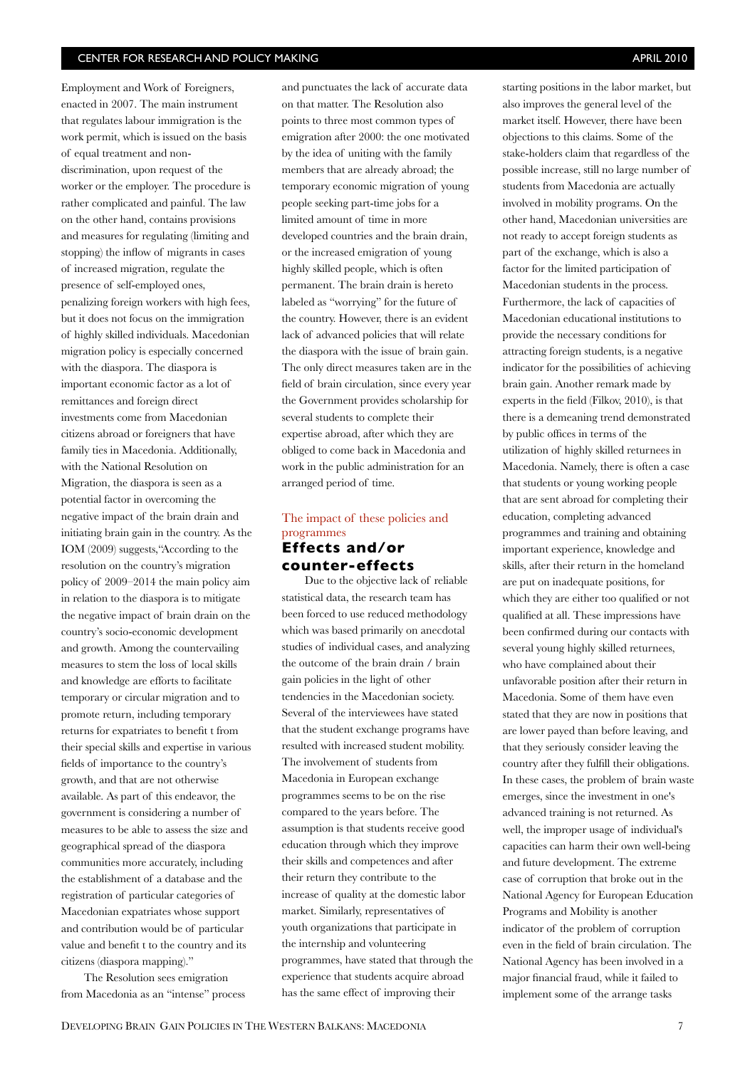starting positions in the labor market, but

Employment and Work of Foreigners, enacted in 2007. The main instrument that regulates labour immigration is the work permit, which is issued on the basis of equal treatment and nondiscrimination, upon request of the worker or the employer. The procedure is rather complicated and painful. The law on the other hand, contains provisions and measures for regulating (limiting and stopping) the inflow of migrants in cases of increased migration, regulate the presence of self-employed ones, penalizing foreign workers with high fees, but it does not focus on the immigration of highly skilled individuals. Macedonian migration policy is especially concerned with the diaspora. The diaspora is important economic factor as a lot of remittances and foreign direct investments come from Macedonian citizens abroad or foreigners that have family ties in Macedonia. Additionally, with the National Resolution on Migration, the diaspora is seen as a potential factor in overcoming the negative impact of the brain drain and initiating brain gain in the country. As the IOM (2009) suggests,"According to the resolution on the country's migration policy of 2009–2014 the main policy aim in relation to the diaspora is to mitigate the negative impact of brain drain on the country's socio-economic development and growth. Among the countervailing measures to stem the loss of local skills and knowledge are efforts to facilitate temporary or circular migration and to promote return, including temporary returns for expatriates to benefit t from their special skills and expertise in various fields of importance to the country's growth, and that are not otherwise available. As part of this endeavor, the government is considering a number of measures to be able to assess the size and geographical spread of the diaspora communities more accurately, including the establishment of a database and the registration of particular categories of Macedonian expatriates whose support and contribution would be of particular value and benefit t to the country and its citizens (diaspora mapping)."

The Resolution sees emigration from Macedonia as an "intense" process and punctuates the lack of accurate data on that matter. The Resolution also points to three most common types of emigration after 2000: the one motivated by the idea of uniting with the family members that are already abroad; the temporary economic migration of young people seeking part-time jobs for a limited amount of time in more developed countries and the brain drain, or the increased emigration of young highly skilled people, which is often permanent. The brain drain is hereto labeled as "worrying" for the future of the country. However, there is an evident lack of advanced policies that will relate the diaspora with the issue of brain gain. The only direct measures taken are in the field of brain circulation, since every year the Government provides scholarship for several students to complete their expertise abroad, after which they are obliged to come back in Macedonia and work in the public administration for an arranged period of time.

## The impact of these policies and programmes **Effects and/or**

**counter-effects**

Due to the objective lack of reliable statistical data, the research team has been forced to use reduced methodology which was based primarily on anecdotal studies of individual cases, and analyzing the outcome of the brain drain / brain gain policies in the light of other tendencies in the Macedonian society. Several of the interviewees have stated that the student exchange programs have resulted with increased student mobility. The involvement of students from Macedonia in European exchange programmes seems to be on the rise compared to the years before. The assumption is that students receive good education through which they improve their skills and competences and after their return they contribute to the increase of quality at the domestic labor market. Similarly, representatives of youth organizations that participate in the internship and volunteering programmes, have stated that through the experience that students acquire abroad has the same effect of improving their

also improves the general level of the market itself. However, there have been objections to this claims. Some of the stake-holders claim that regardless of the possible increase, still no large number of students from Macedonia are actually involved in mobility programs. On the other hand, Macedonian universities are not ready to accept foreign students as part of the exchange, which is also a factor for the limited participation of Macedonian students in the process. Furthermore, the lack of capacities of Macedonian educational institutions to provide the necessary conditions for attracting foreign students, is a negative indicator for the possibilities of achieving brain gain. Another remark made by experts in the field (Filkov,  $2010$ ), is that there is a demeaning trend demonstrated by public offices in terms of the utilization of highly skilled returnees in Macedonia. Namely, there is often a case that students or young working people that are sent abroad for completing their education, completing advanced programmes and training and obtaining important experience, knowledge and skills, after their return in the homeland are put on inadequate positions, for which they are either too qualified or not qualified at all. These impressions have been confirmed during our contacts with several young highly skilled returnees, who have complained about their unfavorable position after their return in Macedonia. Some of them have even stated that they are now in positions that are lower payed than before leaving, and that they seriously consider leaving the country after they fulfill their obligations. In these cases, the problem of brain waste emerges, since the investment in one's advanced training is not returned. As well, the improper usage of individual's capacities can harm their own well-being and future development. The extreme case of corruption that broke out in the National Agency for European Education Programs and Mobility is another indicator of the problem of corruption even in the field of brain circulation. The National Agency has been involved in a major financial fraud, while it failed to implement some of the arrange tasks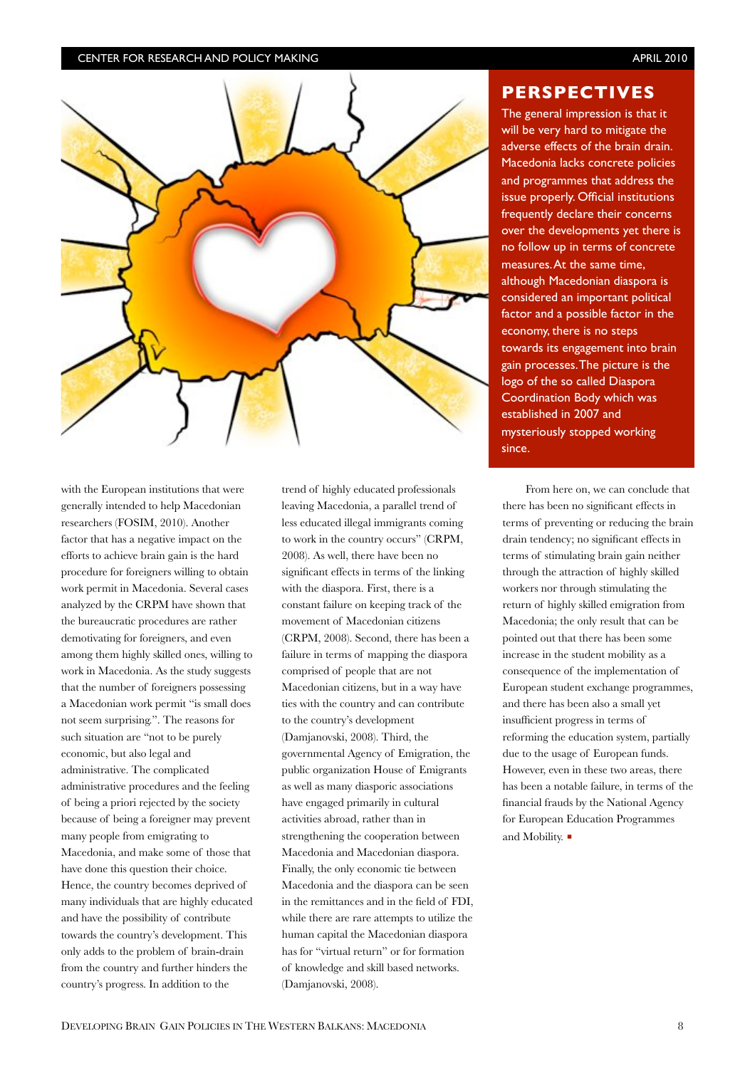

#### **PERSPECTIVES**

The general impression is that it will be very hard to mitigate the adverse effects of the brain drain. Macedonia lacks concrete policies and programmes that address the issue properly. Official institutions frequently declare their concerns over the developments yet there is no follow up in terms of concrete measures.At the same time, although Macedonian diaspora is considered an important political factor and a possible factor in the economy, there is no steps towards its engagement into brain gain processes. The picture is the logo of the so called Diaspora Coordination Body which was established in 2007 and mysteriously stopped working since.

with the European institutions that were generally intended to help Macedonian researchers (FOSIM, 2010). Another factor that has a negative impact on the efforts to achieve brain gain is the hard procedure for foreigners willing to obtain work permit in Macedonia. Several cases analyzed by the CRPM have shown that the bureaucratic procedures are rather demotivating for foreigners, and even among them highly skilled ones, willing to work in Macedonia. As the study suggests that the number of foreigners possessing a Macedonian work permit "is small does not seem surprising.". The reasons for such situation are "not to be purely economic, but also legal and administrative. The complicated administrative procedures and the feeling of being a priori rejected by the society because of being a foreigner may prevent many people from emigrating to Macedonia, and make some of those that have done this question their choice. Hence, the country becomes deprived of many individuals that are highly educated and have the possibility of contribute towards the country's development. This only adds to the problem of brain-drain from the country and further hinders the country's progress. In addition to the

trend of highly educated professionals leaving Macedonia, a parallel trend of less educated illegal immigrants coming to work in the country occurs" (CRPM, 2008). As well, there have been no significant effects in terms of the linking with the diaspora. First, there is a constant failure on keeping track of the movement of Macedonian citizens (CRPM, 2008). Second, there has been a failure in terms of mapping the diaspora comprised of people that are not Macedonian citizens, but in a way have ties with the country and can contribute to the country's development (Damjanovski, 2008). Third, the governmental Agency of Emigration, the public organization House of Emigrants as well as many diasporic associations have engaged primarily in cultural activities abroad, rather than in strengthening the cooperation between Macedonia and Macedonian diaspora. Finally, the only economic tie between Macedonia and the diaspora can be seen in the remittances and in the field of FDI, while there are rare attempts to utilize the human capital the Macedonian diaspora has for "virtual return" or for formation of knowledge and skill based networks. (Damjanovski, 2008).

From here on, we can conclude that there has been no signicant effects in terms of preventing or reducing the brain drain tendency; no significant effects in terms of stimulating brain gain neither through the attraction of highly skilled workers nor through stimulating the return of highly skilled emigration from Macedonia; the only result that can be pointed out that there has been some increase in the student mobility as a consequence of the implementation of European student exchange programmes, and there has been also a small yet insufficient progress in terms of reforming the education system, partially due to the usage of European funds. However, even in these two areas, there has been a notable failure, in terms of the nancial frauds by the National Agency for European Education Programmes and Mobility.  $\blacksquare$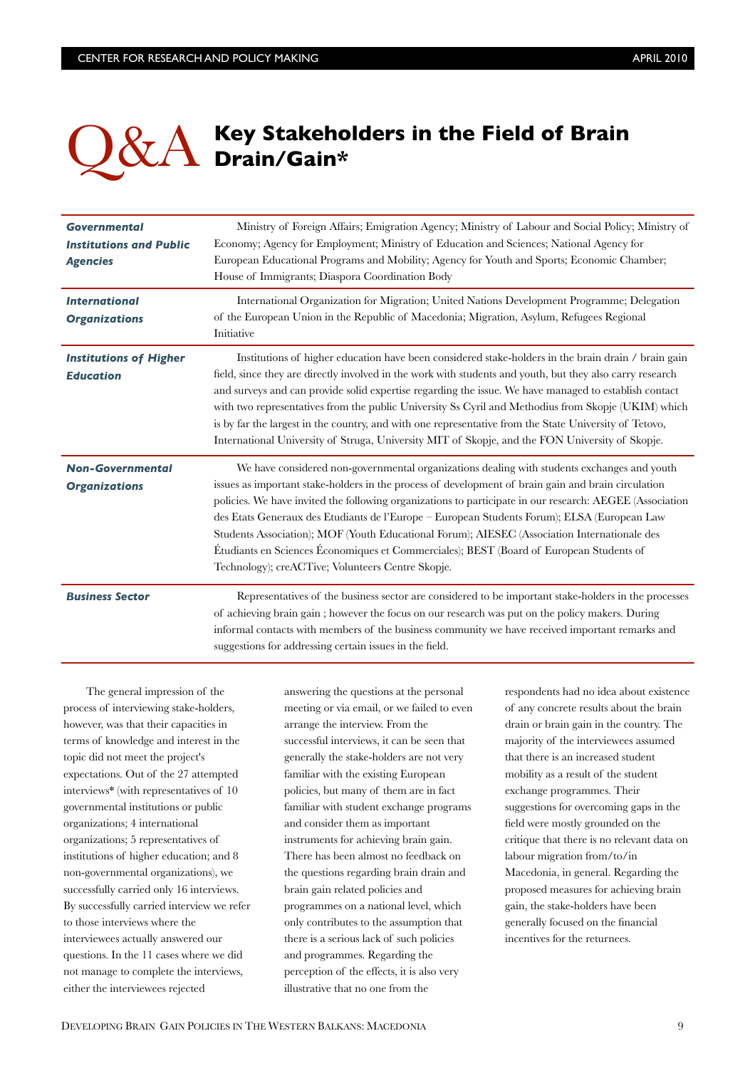# Q&A **Key Stakeholders in the Field of Brain Drain/Gain\***

| <b>Governmental</b><br><b>Institutions and Public</b><br><b>Agencies</b> | Ministry of Foreign Affairs; Emigration Agency; Ministry of Labour and Social Policy; Ministry of<br>Economy; Agency for Employment; Ministry of Education and Sciences; National Agency for<br>European Educational Programs and Mobility; Agency for Youth and Sports; Economic Chamber;<br>House of Immigrants; Diaspora Coordination Body                                                                                                                                                                                                                                                                                                                 |
|--------------------------------------------------------------------------|---------------------------------------------------------------------------------------------------------------------------------------------------------------------------------------------------------------------------------------------------------------------------------------------------------------------------------------------------------------------------------------------------------------------------------------------------------------------------------------------------------------------------------------------------------------------------------------------------------------------------------------------------------------|
| <b>International</b><br><b>Organizations</b>                             | International Organization for Migration; United Nations Development Programme; Delegation<br>of the European Union in the Republic of Macedonia; Migration, Asylum, Refugees Regional<br>Initiative                                                                                                                                                                                                                                                                                                                                                                                                                                                          |
| <b>Institutions of Higher</b><br><b>Education</b>                        | Institutions of higher education have been considered stake-holders in the brain drain / brain gain<br>field, since they are directly involved in the work with students and youth, but they also carry research<br>and surveys and can provide solid expertise regarding the issue. We have managed to establish contact<br>with two representatives from the public University Ss Cyril and Methodius from Skopje (UKIM) which<br>is by far the largest in the country, and with one representative from the State University of Tetovo,<br>International University of Struga, University MIT of Skopje, and the FON University of Skopje.                 |
| <b>Non-Governmental</b><br><b>Organizations</b>                          | We have considered non-governmental organizations dealing with students exchanges and youth<br>issues as important stake-holders in the process of development of brain gain and brain circulation<br>policies. We have invited the following organizations to participate in our research: AEGEE (Association<br>des Etats Generaux des Etudiants de l'Europe - European Students Forum); ELSA (European Law<br>Students Association); MOF (Youth Educational Forum); AIESEC (Association Internationale des<br>Étudiants en Sciences Économiques et Commerciales); BEST (Board of European Students of<br>Technology); creACTive; Volunteers Centre Skopje. |
| <b>Business Sector</b>                                                   | Representatives of the business sector are considered to be important stake-holders in the processes<br>of achieving brain gain; however the focus on our research was put on the policy makers. During<br>informal contacts with members of the business community we have received important remarks and<br>suggestions for addressing certain issues in the field.                                                                                                                                                                                                                                                                                         |

The general impression of the process of interviewing stake-holders, however, was that their capacities in terms of knowledge and interest in the topic did not meet the project's expectations. Out of the 27 attempted interviews\* (with representatives of 10 governmental institutions or public organizations; 4 international organizations; 5 representatives of institutions of higher education; and 8 non-governmental organizations), we successfully carried only 16 interviews. By successfully carried interview we refer to those interviews where the interviewees actually answered our questions. In the 11 cases where we did not manage to complete the interviews, either the interviewees rejected

answering the questions at the personal meeting or via email, or we failed to even arrange the interview. From the successful interviews, it can be seen that generally the stake-holders are not very familiar with the existing European policies, but many of them are in fact familiar with student exchange programs and consider them as important instruments for achieving brain gain. There has been almost no feedback on the questions regarding brain drain and brain gain related policies and programmes on a national level, which only contributes to the assumption that there is a serious lack of such policies and programmes. Regarding the perception of the effects, it is also very illustrative that no one from the

respondents had no idea about existence of any concrete results about the brain drain or brain gain in the country. The majority of the interviewees assumed that there is an increased student mobility as a result of the student exchange programmes. Their suggestions for overcoming gaps in the field were mostly grounded on the critique that there is no relevant data on labour migration from/to/in Macedonia, in general. Regarding the proposed measures for achieving brain gain, the stake-holders have been generally focused on the nancial incentives for the returnees.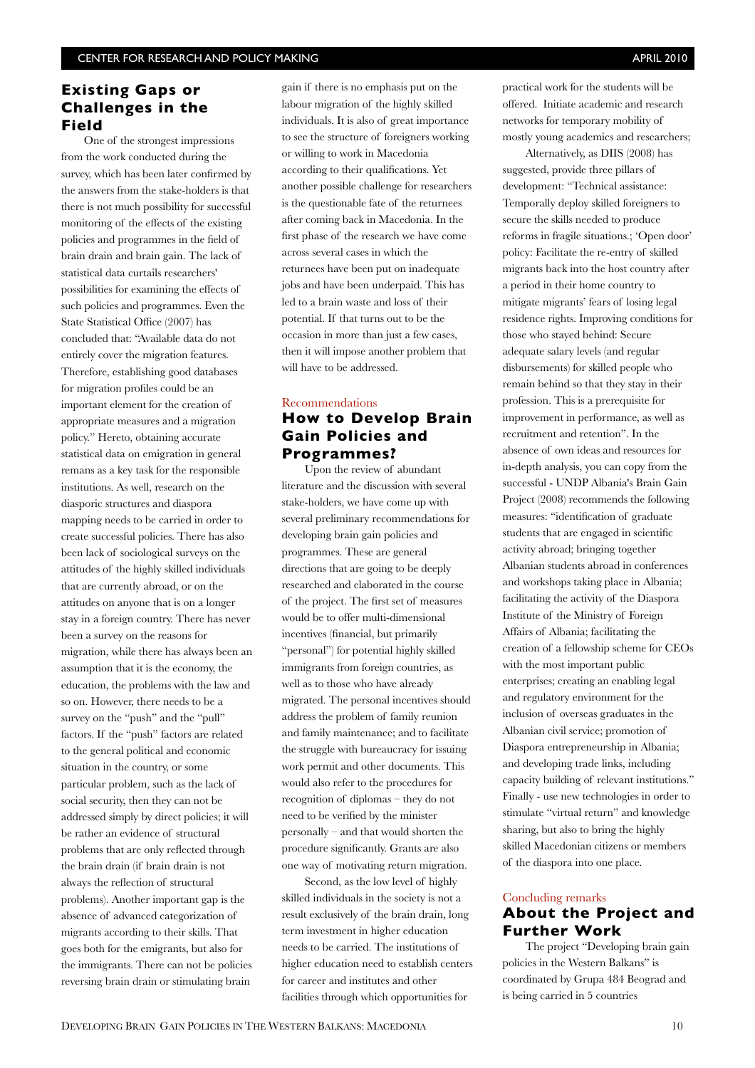## **Existing Gaps or Challenges in the Field**

One of the strongest impressions from the work conducted during the survey, which has been later confirmed by the answers from the stake-holders is that there is not much possibility for successful monitoring of the effects of the existing policies and programmes in the field of brain drain and brain gain. The lack of statistical data curtails researchers' possibilities for examining the effects of such policies and programmes. Even the State Statistical Office (2007) has concluded that: "Available data do not entirely cover the migration features. Therefore, establishing good databases for migration profiles could be an important element for the creation of appropriate measures and a migration policy." Hereto, obtaining accurate statistical data on emigration in general remans as a key task for the responsible institutions. As well, research on the diasporic structures and diaspora mapping needs to be carried in order to create successful policies. There has also been lack of sociological surveys on the attitudes of the highly skilled individuals that are currently abroad, or on the attitudes on anyone that is on a longer stay in a foreign country. There has never been a survey on the reasons for migration, while there has always been an assumption that it is the economy, the education, the problems with the law and so on. However, there needs to be a survey on the "push" and the "pull" factors. If the "push" factors are related to the general political and economic situation in the country, or some particular problem, such as the lack of social security, then they can not be addressed simply by direct policies; it will be rather an evidence of structural problems that are only reflected through the brain drain (if brain drain is not always the reflection of structural problems). Another important gap is the absence of advanced categorization of migrants according to their skills. That goes both for the emigrants, but also for the immigrants. There can not be policies reversing brain drain or stimulating brain

gain if there is no emphasis put on the labour migration of the highly skilled individuals. It is also of great importance to see the structure of foreigners working or willing to work in Macedonia according to their qualifications. Yet another possible challenge for researchers is the questionable fate of the returnees after coming back in Macedonia. In the first phase of the research we have come across several cases in which the returnees have been put on inadequate jobs and have been underpaid. This has led to a brain waste and loss of their potential. If that turns out to be the occasion in more than just a few cases, then it will impose another problem that will have to be addressed.

## Recommendations **How to Develop Brain Gain Policies and Programmes?**

Upon the review of abundant literature and the discussion with several stake-holders, we have come up with several preliminary recommendations for developing brain gain policies and programmes. These are general directions that are going to be deeply researched and elaborated in the course of the project. The first set of measures would be to offer multi-dimensional incentives (financial, but primarily "personal") for potential highly skilled immigrants from foreign countries, as well as to those who have already migrated. The personal incentives should address the problem of family reunion and family maintenance; and to facilitate the struggle with bureaucracy for issuing work permit and other documents. This would also refer to the procedures for recognition of diplomas – they do not need to be verified by the minister personally – and that would shorten the procedure signicantly. Grants are also one way of motivating return migration.

Second, as the low level of highly skilled individuals in the society is not a result exclusively of the brain drain, long term investment in higher education needs to be carried. The institutions of higher education need to establish centers for career and institutes and other facilities through which opportunities for

practical work for the students will be offered. Initiate academic and research networks for temporary mobility of mostly young academics and researchers;

Alternatively, as DIIS (2008) has suggested, provide three pillars of development: "Technical assistance: Temporally deploy skilled foreigners to secure the skills needed to produce reforms in fragile situations.; 'Open door' policy: Facilitate the re-entry of skilled migrants back into the host country after a period in their home country to mitigate migrants' fears of losing legal residence rights. Improving conditions for those who stayed behind: Secure adequate salary levels (and regular disbursements) for skilled people who remain behind so that they stay in their profession. This is a prerequisite for improvement in performance, as well as recruitment and retention". In the absence of own ideas and resources for in-depth analysis, you can copy from the successful - UNDP Albania's Brain Gain Project (2008) recommends the following measures: "identification of graduate students that are engaged in scientific activity abroad; bringing together Albanian students abroad in conferences and workshops taking place in Albania; facilitating the activity of the Diaspora Institute of the Ministry of Foreign Affairs of Albania; facilitating the creation of a fellowship scheme for CEOs with the most important public enterprises; creating an enabling legal and regulatory environment for the inclusion of overseas graduates in the Albanian civil service; promotion of Diaspora entrepreneurship in Albania; and developing trade links, including capacity building of relevant institutions." Finally - use new technologies in order to stimulate "virtual return" and knowledge sharing, but also to bring the highly skilled Macedonian citizens or members of the diaspora into one place.

## Concluding remarks **About the Project and Further Work**

The project "Developing brain gain policies in the Western Balkans" is coordinated by Grupa 484 Beograd and is being carried in 5 countries